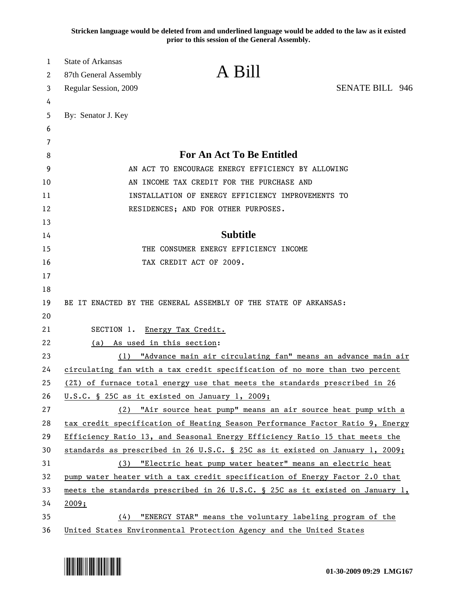**Stricken language would be deleted from and underlined language would be added to the law as it existed prior to this session of the General Assembly.**

| 1        | <b>State of Arkansas</b> |                                                                               |                        |
|----------|--------------------------|-------------------------------------------------------------------------------|------------------------|
| 2        | 87th General Assembly    | A Bill                                                                        |                        |
| 3        | Regular Session, 2009    |                                                                               | <b>SENATE BILL 946</b> |
| 4        |                          |                                                                               |                        |
| 5        | By: Senator J. Key       |                                                                               |                        |
| 6        |                          |                                                                               |                        |
| 7        |                          |                                                                               |                        |
| 8        |                          | <b>For An Act To Be Entitled</b>                                              |                        |
| 9        |                          | AN ACT TO ENCOURAGE ENERGY EFFICIENCY BY ALLOWING                             |                        |
| 10       |                          | AN INCOME TAX CREDIT FOR THE PURCHASE AND                                     |                        |
| 11       |                          | INSTALLATION OF ENERGY EFFICIENCY IMPROVEMENTS TO                             |                        |
| 12       |                          | RESIDENCES; AND FOR OTHER PURPOSES.                                           |                        |
| 13       |                          |                                                                               |                        |
| 14       |                          | <b>Subtitle</b>                                                               |                        |
| 15       |                          | THE CONSUMER ENERGY EFFICIENCY INCOME                                         |                        |
| 16<br>17 |                          | TAX CREDIT ACT OF 2009.                                                       |                        |
| 18       |                          |                                                                               |                        |
| 19       |                          | BE IT ENACTED BY THE GENERAL ASSEMBLY OF THE STATE OF ARKANSAS:               |                        |
| 20       |                          |                                                                               |                        |
| 21       | SECTION 1.               | Energy Tax Credit.                                                            |                        |
| 22       | (a)                      | As used in this section:                                                      |                        |
| 23       | (1)                      | "Advance main air circulating fan" means an advance main air                  |                        |
| 24       |                          | circulating fan with a tax credit specification of no more than two percent   |                        |
| 25       |                          | (2%) of furnace total energy use that meets the standards prescribed in 26    |                        |
| 26       |                          | U.S.C. § 25C as it existed on January 1, 2009;                                |                        |
| 27       |                          | (2) "Air source heat pump" means an air source heat pump with a               |                        |
| 28       |                          | tax credit specification of Heating Season Performance Factor Ratio 9, Energy |                        |
| 29       |                          | Efficiency Ratio 13, and Seasonal Energy Efficiency Ratio 15 that meets the   |                        |
| 30       |                          | standards as prescribed in 26 U.S.C. § 25C as it existed on January 1, 2009;  |                        |
| 31       | (3)                      | "Electric heat pump water heater" means an electric heat                      |                        |
| 32       |                          | pump water heater with a tax credit specification of Energy Factor 2.0 that   |                        |
| 33       |                          | meets the standards prescribed in 26 U.S.C. § 25C as it existed on January 1, |                        |
| 34       | 2009;                    |                                                                               |                        |
| 35       | (4)                      | "ENERGY STAR" means the voluntary labeling program of the                     |                        |
| 36       |                          | United States Environmental Protection Agency and the United States           |                        |

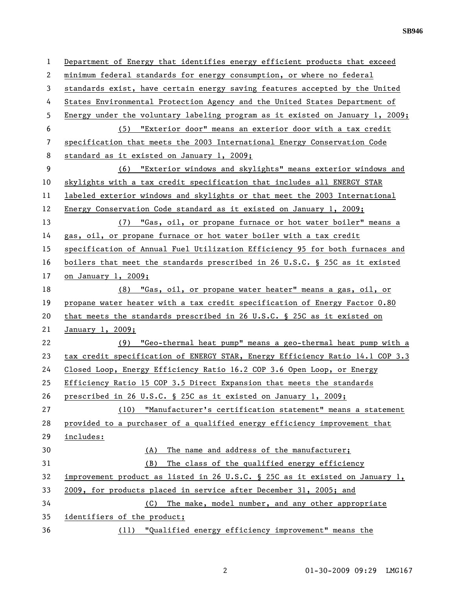**SB946** 

1 Department of Energy that identifies energy efficient products that exceed 2 minimum federal standards for energy consumption, or where no federal 3 standards exist, have certain energy saving features accepted by the United 4 States Environmental Protection Agency and the United States Department of 5 Energy under the voluntary labeling program as it existed on January 1, 2009; 6 (5) "Exterior door" means an exterior door with a tax credit 7 specification that meets the 2003 International Energy Conservation Code 8 standard as it existed on January 1, 2009; 9 (6) "Exterior windows and skylights" means exterior windows and 10 skylights with a tax credit specification that includes all ENERGY STAR 11 labeled exterior windows and skylights or that meet the 2003 International 12 Energy Conservation Code standard as it existed on January 1, 2009; 13 (7) "Gas, oil, or propane furnace or hot water boiler" means a 14 gas, oil, or propane furnace or hot water boiler with a tax credit 15 specification of Annual Fuel Utilization Efficiency 95 for both furnaces and 16 boilers that meet the standards prescribed in 26 U.S.C. § 25C as it existed 17 on January 1, 2009; 18 (8) "Gas, oil, or propane water heater" means a gas, oil, or 19 propane water heater with a tax credit specification of Energy Factor 0.80 20 that meets the standards prescribed in 26 U.S.C. § 25C as it existed on 21 January 1, 2009; 22 (9) "Geo-thermal heat pump" means a geo-thermal heat pump with a 23 tax credit specification of ENERGY STAR, Energy Efficiency Ratio 14.1 COP 3.3 24 Closed Loop, Energy Efficiency Ratio 16.2 COP 3.6 Open Loop, or Energy 25 Efficiency Ratio 15 COP 3.5 Direct Expansion that meets the standards 26 prescribed in 26 U.S.C. § 25C as it existed on January 1, 2009; 27 (10) "Manufacturer's certification statement" means a statement 28 provided to a purchaser of a qualified energy efficiency improvement that 29 includes: 30 (A) The name and address of the manufacturer; 31 (B) The class of the qualified energy efficiency 32 improvement product as listed in 26 U.S.C. § 25C as it existed on January 1, 33 2009, for products placed in service after December 31, 2005; and 34 (C) The make, model number, and any other appropriate 35 identifiers of the product; 36 (11) "Qualified energy efficiency improvement" means the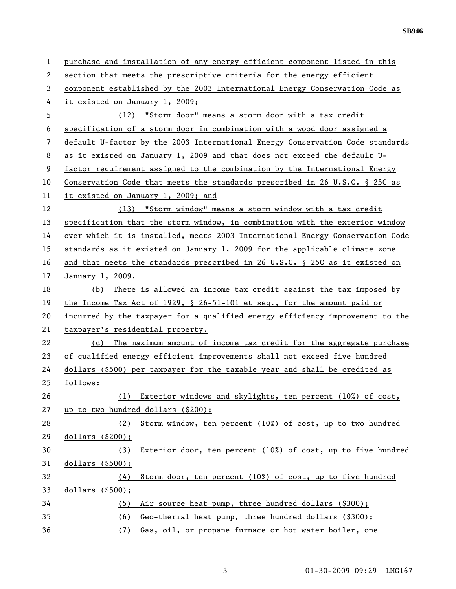| 1            | purchase and installation of any energy efficient component listed in this    |  |  |
|--------------|-------------------------------------------------------------------------------|--|--|
| $\mathbf{2}$ | section that meets the prescriptive criteria for the energy efficient         |  |  |
| 3            | component established by the 2003 International Energy Conservation Code as   |  |  |
| 4            | it existed on January 1, 2009;                                                |  |  |
| 5            | (12) "Storm door" means a storm door with a tax credit                        |  |  |
| 6            | specification of a storm door in combination with a wood door assigned a      |  |  |
| 7            | default U-factor by the 2003 International Energy Conservation Code standards |  |  |
| 8            | as it existed on January 1, 2009 and that does not exceed the default U-      |  |  |
| 9            | factor requirement assigned to the combination by the International Energy    |  |  |
| 10           | Conservation Code that meets the standards prescribed in 26 U.S.C. § 25C as   |  |  |
| 11           | it existed on January 1, 2009; and                                            |  |  |
| 12           | (13) "Storm window" means a storm window with a tax credit                    |  |  |
| 13           | specification that the storm window, in combination with the exterior window  |  |  |
| 14           | over which it is installed, meets 2003 International Energy Conservation Code |  |  |
| 15           | standards as it existed on January 1, 2009 for the applicable climate zone    |  |  |
| 16           | and that meets the standards prescribed in 26 U.S.C. § 25C as it existed on   |  |  |
| 17           | January 1, 2009.                                                              |  |  |
| 18           | There is allowed an income tax credit against the tax imposed by<br>(b)       |  |  |
| 19           | the Income Tax Act of 1929, $\S$ 26-51-101 et seq., for the amount paid or    |  |  |
| 20           | incurred by the taxpayer for a qualified energy efficiency improvement to the |  |  |
| 21           | taxpayer's residential property.                                              |  |  |
| 22           | (c) The maximum amount of income tax credit for the aggregate purchase        |  |  |
| 23           | of qualified energy efficient improvements shall not exceed five hundred      |  |  |
| 24           | dollars (\$500) per taxpayer for the taxable year and shall be credited as    |  |  |
| 25           | follows:                                                                      |  |  |
| 26           | Exterior windows and skylights, ten percent (10%) of cost,<br>(1)             |  |  |
| 27           | up to two hundred dollars (\$200);                                            |  |  |
| 28           | (2) Storm window, ten percent (10%) of cost, up to two hundred                |  |  |
| 29           | dollars $( $200);$                                                            |  |  |
| 30           | Exterior door, ten percent (10%) of cost, up to five hundred<br>(3)           |  |  |
| 31           | dollars $($ \$500 $)$ ;                                                       |  |  |
| 32           | Storm door, ten percent (10%) of cost, up to five hundred<br>(4)              |  |  |
| 33           | dollars $($ \$500 $)$ ;                                                       |  |  |
| 34           | Air source heat pump, three hundred dollars (\$300);<br>(5)                   |  |  |
| 35           | (6)<br>Geo-thermal heat pump, three hundred dollars (\$300);                  |  |  |
| 36           | Gas, oil, or propane furnace or hot water boiler, one<br>(7)                  |  |  |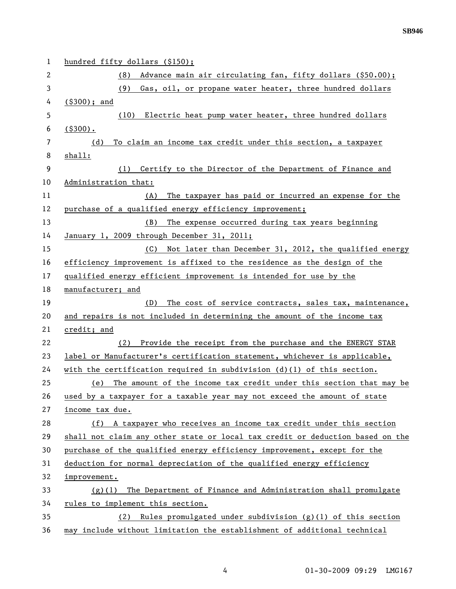| 1  | hundred fifty dollars (\$150);                                                |  |  |
|----|-------------------------------------------------------------------------------|--|--|
| 2  | Advance main air circulating fan, fifty dollars (\$50.00);<br>(8)             |  |  |
| 3  | (9)<br>Gas, oil, or propane water heater, three hundred dollars               |  |  |
| 4  | $( $300);$ and                                                                |  |  |
| 5  | (10) Electric heat pump water heater, three hundred dollars                   |  |  |
| 6  | $($ \$300).                                                                   |  |  |
| 7  | To claim an income tax credit under this section, a taxpayer<br>(d)           |  |  |
| 8  | shall:                                                                        |  |  |
| 9  | (1) Certify to the Director of the Department of Finance and                  |  |  |
| 10 | Administration that:                                                          |  |  |
| 11 | The taxpayer has paid or incurred an expense for the<br>(A)                   |  |  |
| 12 | purchase of a qualified energy efficiency improvement;                        |  |  |
| 13 | (B)<br>The expense occurred during tax years beginning                        |  |  |
| 14 | January 1, 2009 through December 31, 2011;                                    |  |  |
| 15 | Not later than December 31, 2012, the qualified energy<br>(C)                 |  |  |
| 16 | efficiency improvement is affixed to the residence as the design of the       |  |  |
| 17 | qualified energy efficient improvement is intended for use by the             |  |  |
| 18 | manufacturer; and                                                             |  |  |
| 19 | The cost of service contracts, sales tax, maintenance,<br>(D)                 |  |  |
| 20 | and repairs is not included in determining the amount of the income tax       |  |  |
| 21 | credit; and                                                                   |  |  |
| 22 | Provide the receipt from the purchase and the ENERGY STAR<br>(2)              |  |  |
| 23 | label or Manufacturer's certification statement, whichever is applicable,     |  |  |
| 24 | with the certification required in subdivision $(d)(1)$ of this section.      |  |  |
| 25 | The amount of the income tax credit under this section that may be<br>(e)     |  |  |
| 26 | used by a taxpayer for a taxable year may not exceed the amount of state      |  |  |
| 27 | income tax due.                                                               |  |  |
| 28 | (f) A taxpayer who receives an income tax credit under this section           |  |  |
| 29 | shall not claim any other state or local tax credit or deduction based on the |  |  |
| 30 | purchase of the qualified energy efficiency improvement, except for the       |  |  |
| 31 | deduction for normal depreciation of the qualified energy efficiency          |  |  |
| 32 | improvement.                                                                  |  |  |
| 33 | The Department of Finance and Administration shall promulgate<br>(g)(1)       |  |  |
| 34 | rules to implement this section.                                              |  |  |
| 35 | Rules promulgated under subdivision $(g)(1)$ of this section<br>(2)           |  |  |
| 36 | may include without limitation the establishment of additional technical      |  |  |